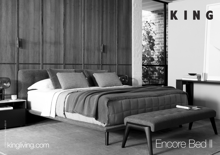## **Encore Bed II Encore Bed II**

 $\overline{C}$ 

KING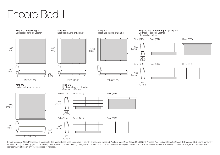## Encore Bed II



Effective January 2022. Mattress sold separately. Bed and Mattress sizes compatible in country or region as indicated: Australia (AU) | New Zealand (NZ) | North America (NA) | United States (US) | Asia & Singapore (SG). So includes tricot (indicated by grey on bedheads). Leather detail indicated. As King Living has a policy of continuous improvement, changes to products and specifications may be made without prior notice. Images and drawings representative of design only. Accessories not included.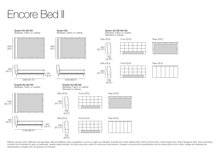## Encore Bed II



Effective January 2022. Mattress sold separately. Bed and Mattress sizes compatible in country or region as indicated: Australia (AU) | New Zealand (NZ) | North America (NA) | United States (US) | Asia & Singapore (SG). So includes tricot (indicated by grey on bedheads). Leather detail indicated. As King Living has a policy of continuous improvement, changes to products and specifications may be made without prior notice. Images and drawings representative of design only. Accessories not included.